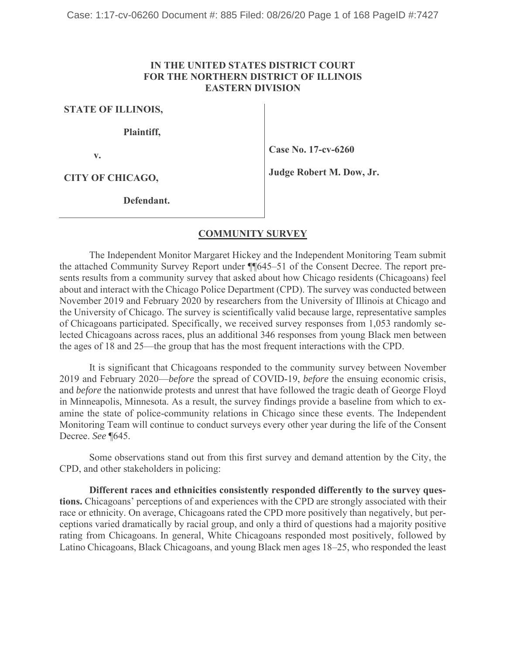## **IN THE UNITED STATES DISTRICT COURT FOR THE NORTHERN DISTRICT OF ILLINOIS EASTERN DIVISION**

**STATE OF ILLINOIS,**

**Plaintiff,**

**v.**

**Case No. 17-cv-6260**

**CITY OF CHICAGO,**

**Judge Robert M. Dow, Jr.**

**Defendant.**

## **COMMUNITY SURVEY**

The Independent Monitor Margaret Hickey and the Independent Monitoring Team submit the attached Community Survey Report under ¶¶645–51 of the Consent Decree. The report presents results from a community survey that asked about how Chicago residents (Chicagoans) feel about and interact with the Chicago Police Department (CPD). The survey was conducted between November 2019 and February 2020 by researchers from the University of Illinois at Chicago and the University of Chicago. The survey is scientifically valid because large, representative samples of Chicagoans participated. Specifically, we received survey responses from 1,053 randomly selected Chicagoans across races, plus an additional 346 responses from young Black men between the ages of 18 and 25—the group that has the most frequent interactions with the CPD.

It is significant that Chicagoans responded to the community survey between November 2019 and February 2020—*before* the spread of COVID-19, *before* the ensuing economic crisis, and *before* the nationwide protests and unrest that have followed the tragic death of George Floyd in Minneapolis, Minnesota. As a result, the survey findings provide a baseline from which to examine the state of police-community relations in Chicago since these events. The Independent Monitoring Team will continue to conduct surveys every other year during the life of the Consent Decree. *See* ¶645.

Some observations stand out from this first survey and demand attention by the City, the CPD, and other stakeholders in policing:

**Different races and ethnicities consistently responded differently to the survey questions.** Chicagoans' perceptions of and experiences with the CPD are strongly associated with their race or ethnicity. On average, Chicagoans rated the CPD more positively than negatively, but perceptions varied dramatically by racial group, and only a third of questions had a majority positive rating from Chicagoans. In general, White Chicagoans responded most positively, followed by Latino Chicagoans, Black Chicagoans, and young Black men ages 18–25, who responded the least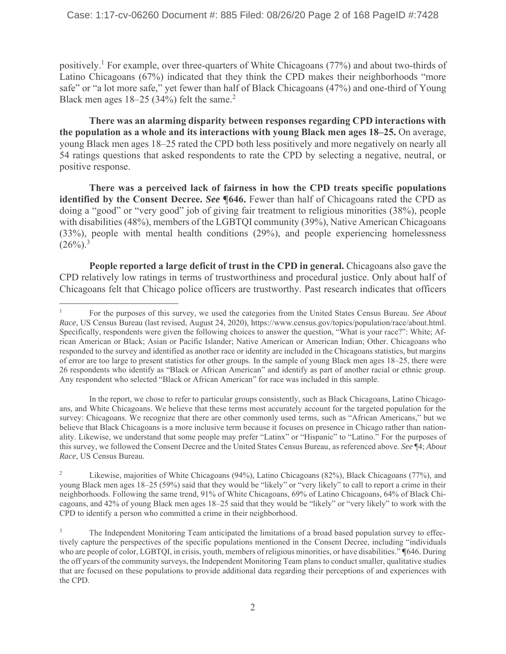positively.1 For example, over three-quarters of White Chicagoans (77%) and about two-thirds of Latino Chicagoans (67%) indicated that they think the CPD makes their neighborhoods "more safe" or "a lot more safe," yet fewer than half of Black Chicagoans (47%) and one-third of Young Black men ages  $18-25$  (34%) felt the same.<sup>2</sup>

**There was an alarming disparity between responses regarding CPD interactions with the population as a whole and its interactions with young Black men ages 18–25.** On average, young Black men ages 18–25 rated the CPD both less positively and more negatively on nearly all 54 ratings questions that asked respondents to rate the CPD by selecting a negative, neutral, or positive response.

**There was a perceived lack of fairness in how the CPD treats specific populations identified by the Consent Decree.** *See* **¶646.** Fewer than half of Chicagoans rated the CPD as doing a "good" or "very good" job of giving fair treatment to religious minorities (38%), people with disabilities (48%), members of the LGBTQI community (39%), Native American Chicagoans (33%), people with mental health conditions (29%), and people experiencing homelessness  $(26\%)$ <sup>3</sup>

**People reported a large deficit of trust in the CPD in general.** Chicagoans also gave the CPD relatively low ratings in terms of trustworthiness and procedural justice. Only about half of Chicagoans felt that Chicago police officers are trustworthy. Past research indicates that officers

In the report, we chose to refer to particular groups consistently, such as Black Chicagoans, Latino Chicagoans, and White Chicagoans. We believe that these terms most accurately account for the targeted population for the survey: Chicagoans. We recognize that there are other commonly used terms, such as "African Americans," but we believe that Black Chicagoans is a more inclusive term because it focuses on presence in Chicago rather than nationality. Likewise, we understand that some people may prefer "Latinx" or "Hispanic" to "Latino." For the purposes of this survey, we followed the Consent Decree and the United States Census Bureau, as referenced above. *See* ¶4; *About Race*, US Census Bureau.

<sup>1</sup> For the purposes of this survey, we used the categories from the United States Census Bureau. *See About Race*, US Census Bureau (last revised, August 24, 2020), https://www.census.gov/topics/population/race/about.html. Specifically, respondents were given the following choices to answer the question, "What is your race?": White; African American or Black; Asian or Pacific Islander; Native American or American Indian; Other. Chicagoans who responded to the survey and identified as another race or identity are included in the Chicagoans statistics, but margins of error are too large to present statistics for other groups. In the sample of young Black men ages 18–25, there were 26 respondents who identify as "Black or African American" and identify as part of another racial or ethnic group. Any respondent who selected "Black or African American" for race was included in this sample.

<sup>2</sup> Likewise, majorities of White Chicagoans (94%), Latino Chicagoans (82%), Black Chicagoans (77%), and young Black men ages 18–25 (59%) said that they would be "likely" or "very likely" to call to report a crime in their neighborhoods. Following the same trend, 91% of White Chicagoans, 69% of Latino Chicagoans, 64% of Black Chicagoans, and 42% of young Black men ages 18–25 said that they would be "likely" or "very likely" to work with the CPD to identify a person who committed a crime in their neighborhood.

<sup>&</sup>lt;sup>3</sup> The Independent Monitoring Team anticipated the limitations of a broad based population survey to effectively capture the perspectives of the specific populations mentioned in the Consent Decree, including "individuals who are people of color, LGBTQI, in crisis, youth, members of religious minorities, or have disabilities." **¶**646. During the off years of the community surveys, the Independent Monitoring Team plans to conduct smaller, qualitative studies that are focused on these populations to provide additional data regarding their perceptions of and experiences with the CPD.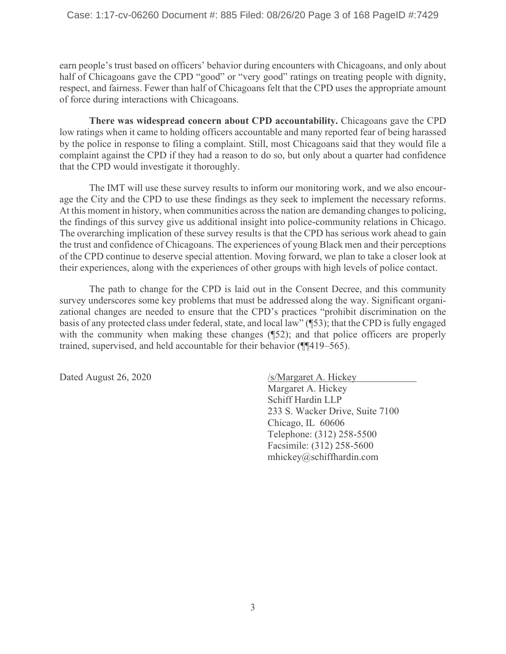earn people's trust based on officers' behavior during encounters with Chicagoans, and only about half of Chicagoans gave the CPD "good" or "very good" ratings on treating people with dignity, respect, and fairness. Fewer than half of Chicagoans felt that the CPD uses the appropriate amount of force during interactions with Chicagoans.

**There was widespread concern about CPD accountability.** Chicagoans gave the CPD low ratings when it came to holding officers accountable and many reported fear of being harassed by the police in response to filing a complaint. Still, most Chicagoans said that they would file a complaint against the CPD if they had a reason to do so, but only about a quarter had confidence that the CPD would investigate it thoroughly.

The IMT will use these survey results to inform our monitoring work, and we also encourage the City and the CPD to use these findings as they seek to implement the necessary reforms. At this moment in history, when communities across the nation are demanding changes to policing, the findings of this survey give us additional insight into police-community relations in Chicago. The overarching implication of these survey results is that the CPD has serious work ahead to gain the trust and confidence of Chicagoans. The experiences of young Black men and their perceptions of the CPD continue to deserve special attention. Moving forward, we plan to take a closer look at their experiences, along with the experiences of other groups with high levels of police contact.

The path to change for the CPD is laid out in the Consent Decree, and this community survey underscores some key problems that must be addressed along the way. Significant organizational changes are needed to ensure that the CPD's practices "prohibit discrimination on the basis of any protected class under federal, state, and local law" (¶53); that the CPD is fully engaged with the community when making these changes ( $\sqrt{52}$ ); and that police officers are properly trained, supervised, and held accountable for their behavior (¶¶419–565).

Dated August 26, 2020 /s/Margaret A. Hickey Margaret A. Hickey Schiff Hardin LLP 233 S. Wacker Drive, Suite 7100 Chicago, IL 60606 Telephone: (312) 258-5500 Facsimile: (312) 258-5600 mhickey@schiffhardin.com